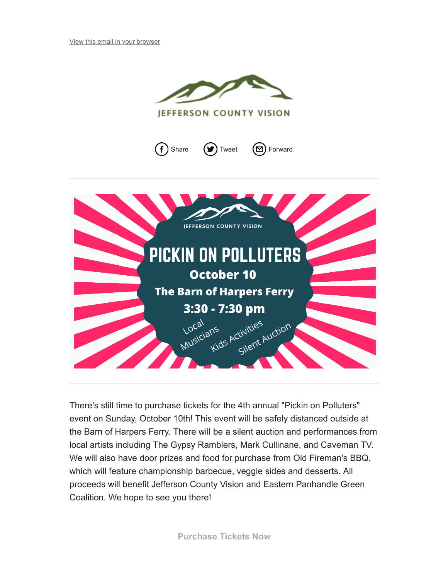







There's still time to purchase tickets for the 4th annual "Pickin on Polluters" event on Sunday, October 10th! This event will be safely distanced outside at the Barn of Harpers Ferry. There will be a silent auction and performances from local artists including The Gypsy Ramblers, Mark Cullinane, and Caveman TV. We will also have door prizes and food for purchase from Old Fireman's BBQ, which will feature championship barbecue, veggie sides and desserts. All proceeds will benefit Jefferson County Vision and Eastern Panhandle Green Coalition. We hope to see you there!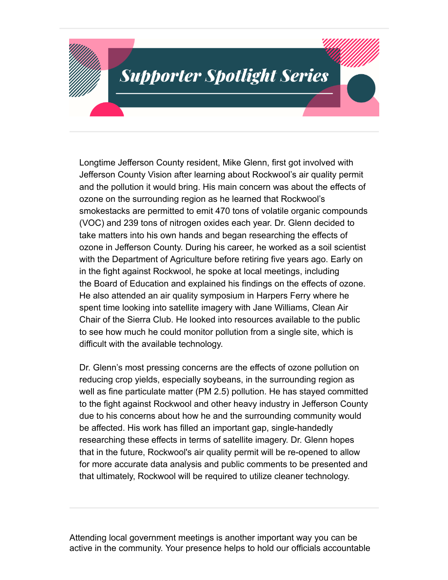Longtime Jefferson County resident, Mike Glenn, first got involved with Jefferson County Vision after learning about Rockwool's air quality permit and the pollution it would bring. His main concern was about the effects of ozone on the surrounding region as he learned that Rockwool's smokestacks are permitted to emit 470 tons of volatile organic compounds (VOC) and 239 tons of nitrogen oxides each year. Dr. Glenn decided to take matters into his own hands and began researching the effects of ozone in Jefferson County. During his career, he worked as a soil scientist with the Department of Agriculture before retiring five years ago. Early on in the fight against Rockwool, he spoke at local meetings, including the Board of Education and explained his findings on the effects of ozone. He also attended an air quality symposium in Harpers Ferry where he spent time looking into satellite imagery with Jane Williams, Clean Air Chair of the Sierra Club. He looked into resources available to the public to see how much he could monitor pollution from a single site, which is difficult with the available technology.

Dr. Glenn's most pressing concerns are the effects of ozone pollution on reducing crop yields, especially soybeans, in the surrounding region as well as fine particulate matter (PM 2.5) pollution. He has stayed committed to the fight against Rockwool and other heavy industry in Jefferson County due to his concerns about how he and the surrounding community would be affected. His work has filled an important gap, single-handedly researching these effects in terms of satellite imagery. Dr. Glenn hopes that in the future, Rockwool's air quality permit will be re-opened to allow for more accurate data analysis and public comments to be presented and that ultimately, Rockwool will be required to utilize cleaner technology.

Attending local government meetings is another important way you can be active in the community. Your presence helps to hold our officials accountable